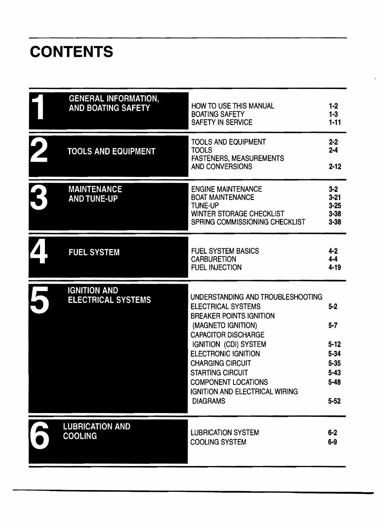# **CONTENTS**

| <b>GENERAL INFORMATION,</b><br><b>AND BOATING SAFETY</b> | <b>HOW TO USE THIS MANUAL</b><br><b>BOATING SAFETY</b><br><b>SAFETY IN SERVICE</b>                                                                                                                                                                                                                                                                          | $1 - 2$<br>$1 - 3$<br>$1 - 11$                                                         |
|----------------------------------------------------------|-------------------------------------------------------------------------------------------------------------------------------------------------------------------------------------------------------------------------------------------------------------------------------------------------------------------------------------------------------------|----------------------------------------------------------------------------------------|
| <b>TOOLS AND EQUIPMENT</b>                               | <b>TOOLS AND EQUIPMENT</b><br><b>TOOLS</b><br><b>FASTENERS, MEASUREMENTS</b><br>AND CONVERSIONS                                                                                                                                                                                                                                                             | $2 - 2$<br>$2 - 4$<br>$2 - 12$                                                         |
| <b>MAINTENANCE</b><br><b>AND TUNE-UP</b>                 | <b>ENGINE MAINTENANCE</b><br><b>BOAT MAINTENANCE</b><br><b>TUNE-UP</b><br><b>WINTER STORAGE CHECKLIST</b><br>SPRING COMMISSIONING CHECKLIST                                                                                                                                                                                                                 | $3 - 2$<br>$3 - 21$<br>$3 - 25$<br>$3 - 38$<br>$3 - 38$                                |
| <b>FUEL SYSTEM</b>                                       | <b>FUEL SYSTEM BASICS</b><br><b>CARBURETION</b><br><b>FUEL INJECTION</b>                                                                                                                                                                                                                                                                                    | $4 - 2$<br>$4 - 4$<br>$4 - 19$                                                         |
| <b>IGNITION AND</b><br><b>ELECTRICAL SYSTEMS</b>         | UNDERSTANDING AND TROUBLESHOOTING<br><b>ELECTRICAL SYSTEMS</b><br><b>BREAKER POINTS IGNITION</b><br>(MAGNETO IGNITION)<br><b>CAPACITOR DISCHARGE</b><br>IGNITION (CDI) SYSTEM<br><b>ELECTRONIC IGNITION</b><br><b>CHARGING CIRCUIT</b><br><b>STARTING CIRCUIT</b><br><b>COMPONENT LOCATIONS</b><br><b>IGNITION AND ELECTRICAL WIRING</b><br><b>DIAGRAMS</b> | $5 - 2$<br>$5 - 7$<br>$5 - 12$<br>$5 - 34$<br>$5 - 35$<br>5-43<br>$5 - 48$<br>$5 - 52$ |
| <b>LUBRICATION AND</b><br><b>COOLING</b>                 | <b>LUBRICATION SYSTEM</b><br><b>COOLING SYSTEM</b>                                                                                                                                                                                                                                                                                                          | $6 - 2$<br>$6 - 9$                                                                     |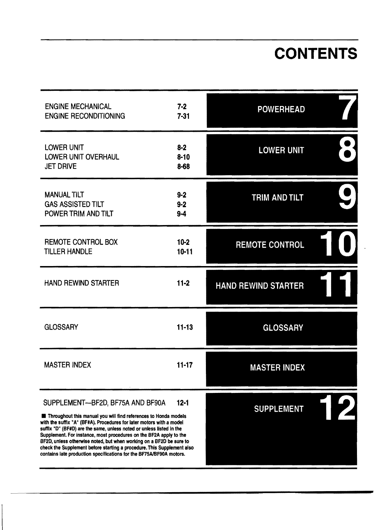## **CONTENTS**

| <b>ENGINE MECHANICAL</b><br><b>ENGINE RECONDITIONING</b>                                                                                                                                                                                                                                                                                                                                                                                                                                                                                                      | $7 - 2$<br>$7 - 31$             | <b>POWERHEAD</b>           |  |
|---------------------------------------------------------------------------------------------------------------------------------------------------------------------------------------------------------------------------------------------------------------------------------------------------------------------------------------------------------------------------------------------------------------------------------------------------------------------------------------------------------------------------------------------------------------|---------------------------------|----------------------------|--|
| <b>LOWER UNIT</b><br><b>LOWER UNIT OVERHAUL</b><br><b>JET DRIVE</b>                                                                                                                                                                                                                                                                                                                                                                                                                                                                                           | $8 - 2$<br>$8 - 10$<br>$8 - 68$ | <b>LOWER UNIT</b>          |  |
| <b>MANUAL TILT</b><br><b>GAS ASSISTED TILT</b><br>POWER TRIM AND TILT                                                                                                                                                                                                                                                                                                                                                                                                                                                                                         | $9 - 2$<br>$9-2$<br>$9-4$       | TRIM AND TILT              |  |
| REMOTE CONTROL BOX<br><b>TILLER HANDLE</b>                                                                                                                                                                                                                                                                                                                                                                                                                                                                                                                    | $10-2$<br>$10 - 11$             | <b>REMOTE CONTROL</b>      |  |
| <b>HAND REWIND STARTER</b>                                                                                                                                                                                                                                                                                                                                                                                                                                                                                                                                    | $11-2$                          | <b>HAND REWIND STARTER</b> |  |
| <b>GLOSSARY</b>                                                                                                                                                                                                                                                                                                                                                                                                                                                                                                                                               | $11 - 13$                       | <b>GLOSSARY</b>            |  |
| <b>MASTER INDEX</b>                                                                                                                                                                                                                                                                                                                                                                                                                                                                                                                                           | $11 - 17$                       | <b>MASTER INDEX</b>        |  |
| SUPPLEMENT-BF2D, BF75A AND BF90A<br>$12 - 1$<br>Throughout this manual you will find references to Honda models<br>with the suffix "A" (BF#A). Procedures for later motors with a model<br>suffix "D" (BF#D) are the same, unless noted or unless listed in the<br>Supplement. For instance, most procedures on the BF2A apply to the<br>BF2D, unless otherwise noted, but when working on a BF2D be sure to<br>check the Supplement before starting a procedure. This Supplement also<br>contains late production specifications for the BF75A/BF90A motors. |                                 | <b>SUPPLEMENT</b>          |  |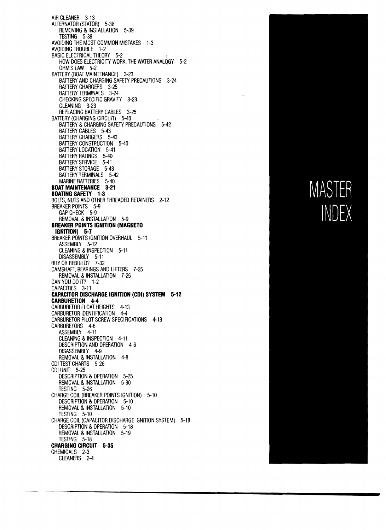AIR CLEANER 3-13 ALTERNATOR (STATOR) 5-38 REMOVING & INSTALLATION 5-39 TESTING 5-38 AVOIDING THE MOST COMMON MISTAKES 1-3 AVOIDING TROUBLE 1-2 BASIC ELECTRICAL THEORY 5-2 HOW DOES ELECTRICITY WORK: THE WATER ANALOGY 5-2 OHM'S LAW 5-2 BATTERY (BOAT MAINTENANCE) 3-23 BATTERY AND CHARGING SAFETY PRECAUTIONS 3-24 BATTERY CHARGERS 3-25 BATTERY TERMINALS 3-24 CHECKING SPECIFIC GRAVITY 3-23 CLEANING 3-23 REPLACING BATTERY CABLES 3-25 BATTERY (CHARGING CIRCUIT) 5-40 BATTERY & CHARGING SAFETY PRECAUTIONS 5-42 BATTERY CABLES 5-43 BATTERY CHARGERS 5-43 BATTERY CONSTRUCTION 5-40 BATTERY LOCATION 5-41 BATTERY RATiNGS 5-40 BATTERY SERVICE 5-41 BATTERY STORAGE 5-43 BATTERY TERMINALS 5-42 MARINE BATTERIES 5-40 **BOAT MAINTENANCE 3-21 BOATING SAFETY 1-3**  BOLTS, NUTS AND OTHER THREADED RETAINERS 2-12 BREAKER POINTS 5-9 GAP CHECK 5-9 REMOVAL & INSTALLATION 5-9 **BREAKER POINTS IGNITION (MAGNETO IGNITION) 5-7**  BREAKER POINTS IGNITION OVERHAUL 5-11 ASSEMBLY 5-12 CLEANING & INSPECTION 5-11 DISASSEMBLY 5-11 BUY OR REBUILD? 7-32 CAMSHAFT. BEARINGS AND LIFTERS 7-25 REMOVAL & INSTALLATION 7-25 CAN YOU DO iT? 1-2 CAPACITIES 3-11 **CAPACITOR OISCHARGE IGNITION (COl) SYSTEM 5-12 CARBURETION 4-4**  CARBURETOR FLOAT HEIGHTS 4-13 CARBURETOR IDENTIFICATION 4-4 CARBURETOR PILOT SCREW SPECIFICATIONS 4-13 CARBURETORS 4-6 ASSEMBLY 4-11 CLEANING & INSPECTION 4-11 DESCRIPTION AND OPERATION 4-6 DISASSEMBLY 4-9 REMOVAL & INSTALLATION 4-8 COl TEST CHARTS 5-26 COl UNIT 5-25 DESCRIPTION & OPERATION 5-25 REMOVAL & INSTALLATION 5-30 TESTING 5-26 CHARGE COIL (BREAKER POINTS IGNITION) 5-10 DESCRIPTION & OPERATION 5-10 REMOVAL & INSTALLATION 5-10 TESTING 5-10 CHARGE COIL (CAPACITOR DISCHARGE IGNITION SYSTEM) 5-18 DESCRIPTION & OPERATION 5-18 REMOVAL & INSTALLATION 5-19 TESTING 5-18 **CHARGING CIRCUIT 5-35**  CHEMICALS 2-3 CLEANERS 2-4

# MASTER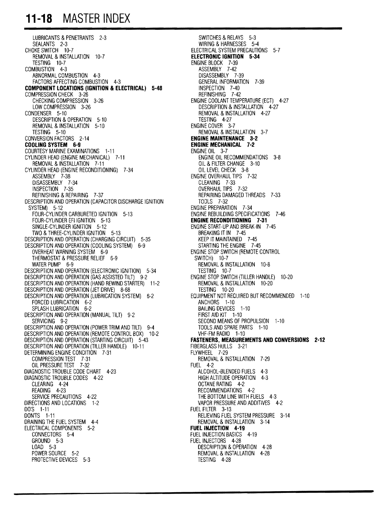#### **11-18 MASTER INDEX**

LUBRICANTS & PENETRANTS 2-3 SEALANTS 2-3 CHOKE SWITCH 10-7 REMOVAL &INSTALLATION 10-7 TESTING 10-7 COMBUSTION 4-3 ABNORMAL COMBUSTION 4-3 FACTORS AFFECTING COMBUSTION 4-3 **COMPONENT LOCATIONS (IGNITION & ELECTRICAL) 5-48** COMPRESSION CHECK 3-26 CHECKING COMPRESSION 3-26 LOW COMPRESSION 3-26 CONDENSER 5-10 DESCRIPTION & OPERATION 5-10 REMOVAL & INSTALLATION 5-10 TESTING 5-10 CONVERSION FACTORS 2-14 **CODLING SYSTEM 6-9**  COURTESY MARINE EXAMINATIONS 1-11 CYLINDER HEAD (ENGINE MECHANICAL) 7-11 REMOVAL & INSTALLATION 7-11 CYLINDER HEAD (ENGINE RECONDITIONING) 7-34 ASSEMBLY 7-38 DISASSEMBLY 7-34 INSPECTION 7-35 REFINISHING & REPAIRING 7-37 DESCRIPTION AND OPERATION (CAPACITOR DISCHARGE IGNITION SYSTEM) 5-12 FOUR-CYLINDER CARBURETED IGNITION 5-13 FOUR-CYLINDER EFI IGNITION 5-13 SINGLE-CYLINDER IGNITION 5-12 TWO &THREE-CYLINDER IGNITION 5-13 DESCRIPTION AND OPERATION (CHARGING CIRCUIT) 5-35 DESCRIPTION AND OPERATION (COOLING SYSTEM) 6-9 OVERHEAT WARNING SYSTEM 6-9 THERMOSTAT & PRESSURE RELIEF 6-9 WATER PUMP 6-9 DESCRIPTION AND OPERATION (ELECTRONIC IGNITION) 5-34 DESCRIPTION AND OPERATION (GAS ASSISTED TILT) 9-2 DESCRIPTION AND OPERATION (HAND REWIND STARTER) 11-2 DESCRIPTION AND OPERATION (JET DRIVE) 8-68 DESCRIPTION AND OPERATION (LUBRICATION SYSTEM) 6-2 FORCED LUBRICATION 6-2 SPLASH LUBRICATION 6-2 DESCRIPTION AND OPERATION (MANUAL TILT) 9-2 SERVICING 9-2 DESCRIPTION AND OPERATION (POWER TRIM AND TILT) 9-4 DESCRIPTION AND OPERATION (REMOTE CONTROL BOX) 10-2 DESCRIPTION AND OPERATION (STARTING CIRCUIT) 5-43 DESCRIPTION AND OPERATION (TILLER HANDLE) 10-11 DETERMINING ENGINE CONDITION 7-31 COMPRESSION TEST 7-31 OIL PRESSURE TEST 7-32 DIAGNOSTIC TROUBLE CODE CHART 4-23 DIAGNOSTIC TROUBLE CODES 4-22 CLEARING 4-24 READING 4-23 SERVICE PRECAUTIONS 4-22 DIRECTIONS AND LOCATIONS 1-2 DO'S 1-11 DON'TS 1-11 DRAINING THE FUEL SYSTEM 4-4 ELECTRICAL COMPONENTS 5-2 CONNECTORS 5-4 GROUND 5-3 LOAD 5-3 POWER SOURCE 5-2 PROTECTIVE DEVICES 5-3

SWITCHES & RELAYS 5-3 WIRING & HARNESSES 5-4 ELECTRICAL SYSTEM PRECAUTIONS 5-7 **ELECTRONIC IGNITION 5-34** ENGINE BLOCK 7-39 ASSEMBLY 7-42 DISASSEMBLY 7-39 GENERAL INFORMATION 7-39 INSPECTION 7-40 REFINISHING 7-42 ENGINE COOLANT TEMPERATURE (ECT) 4-27 DESCRIPTION & INSTALLATION 4-27 REMOVAL & INSTALLATION 4-27 TESTING 4-27 ENGINE COVER 3-7 REMOVAL & INSTALLATION 3-7 **ENGINE MAINTENANCE 3-2 ENGINE MECHANICAL 7·2** ENGINE OIL 3-7 ENGINE OIL RECOMMENDATIONS 3-8 OIL & FILTER CHANGE 3-10 OIL LEVEL CHECK 3-8 ENGINE OVERHAUL TIPS 7-32 CLEANING 7-33 OVERHAUL TIPS 7-32 REPAIRING DAMAGED THREADS 7-33 TOOLS 7-32 ENGINE PREPARATION 7-34 ENGINE REBUILDING SPECIFICATIONS 7-46 **ENGINE RECONDITIONING 7-31**  ENGINE START-UP AND BREAK-IN 7-45 BREAKING IT IN 7-45 KEEP IT MAINTAINED 7-45 STARTING THE ENGINE 7-45 ENGINE STOP SWITCH (REMOTE CONTROL SWITCH) 10-7 REMOVAL &INSTALLATION 10-8 TESTING 10-7 ENGINE STOP SWITCH (TILLER HANDLE) 10-20 REMOVAL & INSTALLATION 10-20 TESTING 10-20 EQUIPMENT NOT REQUIRED BUT RECOMMENDED 1-10 ANCHORS 1-10 BAILING DEVICES 1-10 FIRST AID KIT 1-10 SECOND MEANS OF PROPULSION 1-10 TOOLS AND SPARE PARTS 1-10 VHF-FM RADIO 1-10 **FASTENERS, MEASUREMENTS AND CONVERSIONS 2-12** FIBERGLASS HULLS 3-21 FLYWHEEL 7-29 REMOVAL & INSTALLATION 7-29 FUEL 4-2 ALCOHOL-BLENDED FUELS 4-3 HIGH ALTITUDE OPERATION 4-3 OCTANE RATING 4-2 RECOMMENDATIONS 4-2 THE BOTTOM LINE WITH FUELS 4-3 VAPOR PRESSURE AND ADDITIVES 4-2 FUEL FILTER 3-13 RELIEVING FUEL SYSTEM PRESSURE 3-14 REMOVAL &INSTALLATION 3-14 FUEL INJECTION **4·19**  FUEL INJECTION BASICS 4-19 FUEL INJECTORS 4-28 DESCRIPTION & OPERATION 4-28 REMOVAL & INSTALLATION 4-28 TESTING 4-28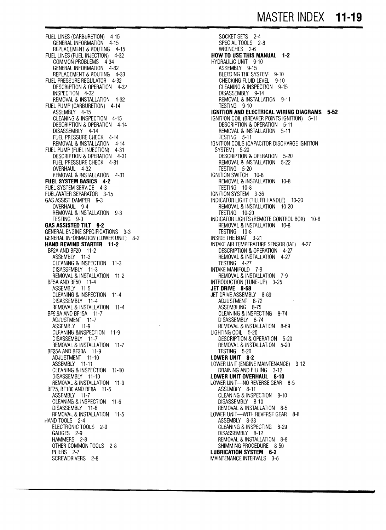FUEL LINES (CARBURETION) 4-15 GENERAL INFORMATION 4-15 REPLACEMENT & ROUTING 4-15 FUEL LINES (FUEL INJECTION) 4-32 COMMON PROBLEMS 4-34 GENERAL INFORMATION 4-32 REPLACEMENT & ROUTING 4-33 FUEL PRESSURE REGULATOR 4-32 DESCRIPTION & OPERATION 4-32 INSPECTION 4-32 REMOVAL &INSTALLATION 4-32 FUEL PUMP (CARBURETION) 4-14 ASSEMBLY 4-15 CLEANING &INSPECTION 4-15 DESCRIPTION & OPERATION 4-14 DISASSEMBLY 4-14 FUEL PRESSURE CHECK 4-14 REMOVAL &INSTALLATION 4-14 FUEL PUMP (FUEL INJECTION) 4-31 DESCRIPTION & OPERATION 4-31 FUEL PRESSURE CHECK 4-31 OVERHAUL 4-32 REMOVAL & INSTALLATION 4-31 **FUEL SYSTEM BASICS 4-2** FUEL SYSTEM SERVICE 4-3 FUElJWATER SEPARATOR 3-15 GAS ASSIST DAMPER 9-3 OVERHAUL 9-4 REMOVAL & INSTALLATION 9-3 TESTING 9-3 **GAS ASSISTED TILT 9-2** GENERAL ENGINE SPECIFICATIONS 3-3 GENERAL INFORMATION (LOWER UNIT) 8-2 **HAND REWIND STARTER 11-2** BF2A AND BF20 11-2 ASSEMBLY 11-3 CLEANING &INSPECTION 11-3 DISASSEMBLY 11-3 REMOVAL &INSTALLATION 11-2 BF5A AND BF50 11-4 ASSEMBLY 11-5 CLEANING & INSPECTION 11-4 DISASSEMBLY 11-4 REMOVAL &INSTALLATION 11-4 BF9.9AANDBF15A 11-7 ADJUSTMENT 11-7 ASSEMBLY 11-9 CLEANING & INSPECTION 11-9 DISASSEMBLY 11-7 REMOVAL & INSTALLATION 11-7 BF25A AND BF30A 11-9 ADJUSTMENT 11-10 ASSEMBLY 11-11 CLEANING &INSPECTION 11-10 DISASSEMBLY 11-10 REMOVAL &INSTALLATION 11-9 BF75, BF100 AND BFBA 11-5 ASSEMBLY 11-7 CLEANING &INSPECTION 11-6 DISASSEMBLY 11-6 REMOVAL &INSTALLATION 11-5 HAND TOOLS 2-4 ELECTRONIC TOOLS 2-9 GAUGES 2-9 HAMMERS 2-8 OTHER COMMON TOOLS 2-8 PLIERS 2-7 SCREWDRIVERS 2-8

SOCKET SETS 2-4 SPECIAL TOOLS 2-8 WRENCHES 2-6 **HOW TO USE THIS MANUAL 1-2** HYDRAULIC UNIT 9-10 ASSEMBLY 9-15 BLEEDING THE SYSTEM 9-10 CHECKING FLUID LEVEL 9-10 CLEANING &INSPECTION 9-15 DISASSEMBLY 9-14 REMOVAL & INSTALLATION 9-11 TESTING 9-10 **IGNITION AND ELECTRICAL WIRING DIAGRAMS 5-52** IGNITION COIL (BREAKER POINTS IGNITION) 5-11 DESCRIPTION & OPERATION 5-11 REMOVAL & INSTALLATION 5-11 TESTING 5-11 IGNITION COILS (CAPACITOR DISCHARGE IGNITION SYSTEM) 5-20 DESCRIPTION & OPERATION 5-20 REMOVAL & INSTALLATION 5-22 TESTING 5-20 IGNITION SWITCH 10-8 REMOVAL & INSTALLATION 10-8 TESTING 10-8 IGNITION SYSTEM 3-36 INDICATOR LIGHT (TILLER HANDLE) 10-20 REMOVAL & INSTALLATION 10-20 TESTING 10-20 INDICATOR LIGHTS (REMOTE CONTROL BOX) 10-8 REMOVAL & INSTALLATION 10-8 TESTING 10-8 INSIDE THE BOAT 3-21 INTAKE AIR TEMPERATURE SENSOR (lAT) 4-27 DESCRIPTION & OPERATION 4-27 REMOVAL & INSTALLATION 4-27 TESTING 4-27 INTAKE MANIFOLD 7-9 REMOVAL & INSTALLATION 7-9 INTRODUCTION (TUNE-UP) 3-25 **JET DRIVE 8·68**  JET DRIVE ASSEMBLY 8-69 ADJUSTMENT 8-72 ASSEMBLING 8-75 CLEANING &INSPECTING 8-74 DISASSEMBLY 8-74 REMOVAL & INSTALLATION 8-69 LIGHTING COIL 5-20 DESCRIPTION & OPERATION 5-20 REMOVAL & INSTALLATION 5-20 TESTING 5-20 **LOWER UNIT 8-2** LOWER UNIT (ENGINE MAINTENANCE) 3-12 DRAINING AND FILLING 3-12 **LOWER UNIT OVERHAUL 8-10** LOWER UNIT-NO REVERSE GEAR 8-5 ASSEMBLY 8-11 CLEANING & INSPECTION 8-10 DISASSEMBLY 8-10 REMOVAL & INSTALLATION 8-5 LOWER UNIT--WITH REVERSE GEAR 8-8 ASSEMBLY 8-33 CLEANING & INSPECTING 8-29 DISASSEMBLY 8-12 REMOVAL & INSTALLATION 8-8 SHIMMING PROCEDURE 8-50 **LUBRICATION SYSTEM 6-2** MAINTENANCE INTERVALS 3-6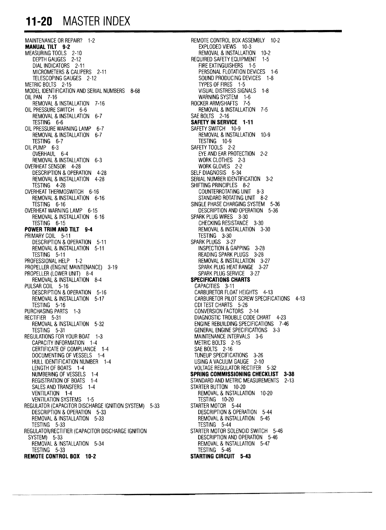### **11-20 MASTER INDEX**

MAINTENANCE OR REPAIR? 1-2 <br> **MANUAL TILT 9-2 REMOTE CONTROL BOX ASSEMBLY 10-2**<br>
EXPLODED VIEWS 10-3 MEASURING TOOLS 2-10 REMOVAL &INSTALLATION 10-2 DEPTH GAUGES 2-12 REQUIRED SAFETY EQUIPMENT 1-5 DIAL INDICATORS 2-11 FIRE EXTINGUISHERS 1-5 MICROMETERS & CALIPERS 2-11 **PERSONAL FLOTATION DEVICES** 1-6<br>TELESCOPING GAUGES 2-12 **PERSONAL FLOTATION DEVICES** 1-8 TELESCOPING GAUGES 2-12 SOUND PRODUCING DEVICES 1-8<br>METRIC BOLTS 2-15 TYPES OF FIRES 1-5 MODEL IDENTIFICATION AND SERIAL NUMBERS 8-68<br>OIL PAN 7-16 REMOVAL & INSTALLATION 7-16<br>OIL PRESSURE SWITCH 6-6 REMOVAL & INSTALLATION 6-7<br>TESTING 6-6 OIL PRESSURE WARNING LAMP 6-7<br>REMOVAL & INSTALLATION 6-7 REMOVAL & INSTALLATION 6-7<br>TESTING 6-7 REMOVAL & INSTALLATION 10-9 TESTING 6-7 TESTING 10-9 OIL PUMP 6-3 SAFETY TOOLS 2-2 OVERHAUL 6-4 EYE AND EAR PROTECTION 2-2 REMOVAL & INSTALLATION 6-3 OVERHEAT SENSOR 4-28 WORK GLOVES 2-2 DESCRIPTION & OPERATION 4-28<br>REMOVAL & INSTALLATION 4-28 REMOVAL & INSTALLATION 4-28 SERIAL NUMBER IDENTIFICATION 3-2<br>TESTING 4-28 SHIFTING PRINCIPLES 8-2 OVERHEAT THERMOSWITCH 6-16 COUNTERROTATING UNIT 8-3 REMOVAL & INSTALLATION 6-16<br>TESTING 6-16 TESTING 6-16 SINGLE PHASE CHARGING SYSTEM 5-36<br>OVERHEAT WARNING LAMP 6-15 SESSENTION 5-36 REMOVAL & INSTALLATION 6-16<br>TESTING 6-15 **POWER TRIM AND TILT 9-4**<br>PRIMARY COIL 5-11 DESCRIPTION & OPERATION 5-11 SPARK PLUGS 3-27<br>REMOVAL & INSTALLATION 5-11 SPARK PLUGS 3-28 REMOVAL & INSTALLATION 5-11<br>TESTING 5-11 TESTING 5-11 READING SPARK PLUGS 3-28<br>PROFESSIONAL HELP 1-2 REMOVAL & INSTALLATION 3-PROPELLER (ENGINE MAINTENANCE) 3-19 SPARK PLUG HEAT RANGE 3-27 PROPELLER (LOWER UNIT) 8-4 SPARK PLUG SERVICE<br>REMOVAL & INSTALLATION 8-4 SPECIFICATIONS CHARTS REMOVAL & INSTALLATION 8-4 **SPECIFICATIONS C**<br>LSAR COIL 5-16 **CAPACITIES** 3-11 PULSAR COIL 5-16<br>DESCRIPTION & OPERATION 5-16 DESCRIPTION & OPERATION 5-16 CARBURETOR FLOAT HEIGHTS 4-13<br>REMOVAL & INSTALLATION 5-17 CARBURETOR PILOT SCREW SPECIFIC REMOVAL & INSTALLATION 5-17 CARBURETOR PILOT SCREW SPECIFICATIONS 4-13<br>TESTING 5-16 CDI TEST CHARTS 5-26 TESTING 5-16 CDI TEST CHARTS 5-26 CDI TEST CHARTS 5-26 CONVERSION FACTORS PURCHASING PARTS 1-3 CONVERSION FACTORS 2-14 RECTIFIER 5-31 DIAGNOSTIC TROUBLE CODE CHART 4-23 TESTING 5-31 GENERAL ENGINE SPECIFICATIONS 3-3 REGULATIONS FOR YOUR BOAT 1-3 MAINTENANCE INTERVALS 3-6 CAPACITY INFORMATION 1-4<br>
CERTIFICATE OF COMPLIANCE 1-4 CERTIFICATE OF COMPLIANCE 1-4 CERTIFICATE OF COMPLIANCE 1-4 SAE BOLTS 2-16<br>DOCUMENTING OF VESSELS 1-4 SAE BOLTS TUNEUP SPECIFICATIONS 3-26 DOCUMENTING OF VESSELS 1-4 TUNEUP SPECIFICATIONS 3-26 HULL IDENTIFICATION NUMBER 1-4 LENGTH OF BOATS 1-4 VOLTAGE REGULATOR RECTIFER 5-32<br>NUMBERING OF VESSELS 1-4 **SPRING COMMISSIONING CHECKLIS**T NUMBERING OF VESSELS 1-4 **SPRING COMMISSIONING CHECKLIST 3-38**<br>REGISTRATION OF BOATS 1-4 **STANDARD AND METRIC MEASUREMENTS** 2-13 SALES AND TRANSFERS 1-4 VENTILATION 1-4<br>
VENTILATION SYSTEMS 1-5 VENTILATION 10-20<br>
VENTILATION SYSTEMS 10-20 TESTING 10-20<br>
VENTILATOR (CAPACITOR DISCHARGE IGNITION SYSTEM) 5-33 STARTER MOTOR 5-44 VENTILATION SYSTEMS 1-5 REGULATOR (CAPACITOR DISCHARGE IGNITION SYSTEM) 5-33 DESCRIPTION & OPERATION 5-33 DESCRIPTION & OPERATION 5-44<br>REMOVAL & INSTALLATION 5-33 DESCRIPTION 5-45 REMOVAL & INSTALLATION 5-33<br>TESTING 5-33 REGULATOR/RECTIFIER (CAPACITOR DISCHARGE IGNITION SYSTEM) 5-33 REMOVAL & INSTALLATION 5-34 REMOVAL & INSTALLATION 5-47<br>TESTING 5-33 REMOVAL & INSTALLATION 5-46 TESTING 5-33 **REMOTE CONTROL BOX 10-2 STARTING CIRCUIT 5-43** 

**EXPLODED VIEWS 10-3<br>REMOVAL & INSTALLATION 10-2** TYPES OF FIRES 1-5<br>VISUAL DISTRESS SIGNALS 1-8 WARNING SYSTEM 1-6<br>ROCKER ARM/SHAFTS 7-5 REMOVAL & INSTALLATION 7-5<br>SAE BOLTS 2-16 **SAFETY IN SERVICE 1-11**<br>SAFETY SWITCH 10-9 SHIFTING PRINCIPLES 8-2<br>COUNTERROTATING UNIT 8-3 DESCRIPTION AND OPERATION 5-36<br>SPARK PLUG WIRES 3-30 CHECKING RESISTANCE 3-30<br>REMOVAL & INSTALLATION 3-30 TESTING 3-30<br>SPARK PLUGS 3-27 REMOVAL & INSTALLATION 3-27<br>SPARK PLUG HEAT RANGE 3-27 ENGINE REBUILDING SPECIFICATIONS 7-46<br>GENERAL ENGINE SPECIFICATIONS 3-3 STANDARD AND METRIC MEASUREMENTS 2-13<br>STARTER BUTTON 10-20 TESTING 5-44<br>STARTER MOTOR SOLENOID SWITCH 5-46 DESCRIPTION AND OPERATION 5-46